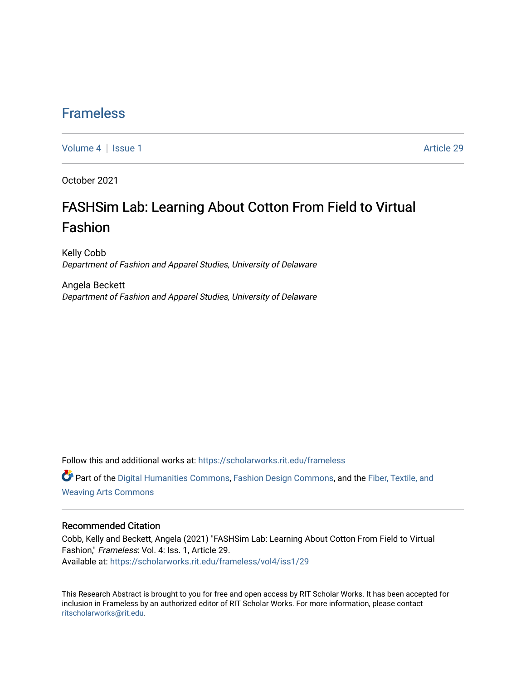### [Frameless](https://scholarworks.rit.edu/frameless)

[Volume 4](https://scholarworks.rit.edu/frameless/vol4) | [Issue 1](https://scholarworks.rit.edu/frameless/vol4/iss1) Article 29

October 2021

## FASHSim Lab: Learning About Cotton From Field to Virtual Fashion

Kelly Cobb Department of Fashion and Apparel Studies, University of Delaware

Angela Beckett Department of Fashion and Apparel Studies, University of Delaware

Follow this and additional works at: [https://scholarworks.rit.edu/frameless](https://scholarworks.rit.edu/frameless?utm_source=scholarworks.rit.edu%2Fframeless%2Fvol4%2Fiss1%2F29&utm_medium=PDF&utm_campaign=PDFCoverPages)

Part of the [Digital Humanities Commons](https://network.bepress.com/hgg/discipline/1286?utm_source=scholarworks.rit.edu%2Fframeless%2Fvol4%2Fiss1%2F29&utm_medium=PDF&utm_campaign=PDFCoverPages), [Fashion Design Commons,](https://network.bepress.com/hgg/discipline/1132?utm_source=scholarworks.rit.edu%2Fframeless%2Fvol4%2Fiss1%2F29&utm_medium=PDF&utm_campaign=PDFCoverPages) and the [Fiber, Textile, and](https://network.bepress.com/hgg/discipline/1337?utm_source=scholarworks.rit.edu%2Fframeless%2Fvol4%2Fiss1%2F29&utm_medium=PDF&utm_campaign=PDFCoverPages)  [Weaving Arts Commons](https://network.bepress.com/hgg/discipline/1337?utm_source=scholarworks.rit.edu%2Fframeless%2Fvol4%2Fiss1%2F29&utm_medium=PDF&utm_campaign=PDFCoverPages)

#### Recommended Citation

Cobb, Kelly and Beckett, Angela (2021) "FASHSim Lab: Learning About Cotton From Field to Virtual Fashion," Frameless: Vol. 4: Iss. 1, Article 29. Available at: [https://scholarworks.rit.edu/frameless/vol4/iss1/29](https://scholarworks.rit.edu/frameless/vol4/iss1/29?utm_source=scholarworks.rit.edu%2Fframeless%2Fvol4%2Fiss1%2F29&utm_medium=PDF&utm_campaign=PDFCoverPages) 

This Research Abstract is brought to you for free and open access by RIT Scholar Works. It has been accepted for inclusion in Frameless by an authorized editor of RIT Scholar Works. For more information, please contact [ritscholarworks@rit.edu](mailto:ritscholarworks@rit.edu).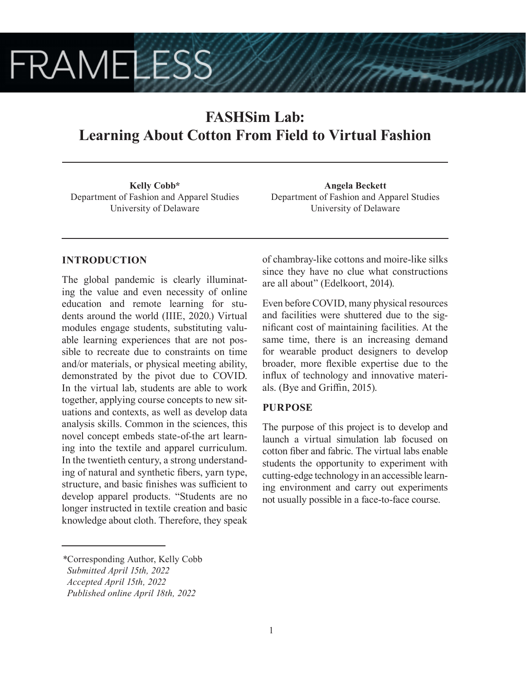# **FRAMELESS**

## **FASHSim Lab: Learning About Cotton From Field to Virtual Fashion**

**Kelly Cobb\*** Department of Fashion and Apparel Studies University of Delaware

**Angela Beckett** Department of Fashion and Apparel Studies University of Delaware

#### **INTRODUCTION**

The global pandemic is clearly illuminating the value and even necessity of online education and remote learning for students around the world (IIIE, 2020.) Virtual modules engage students, substituting valuable learning experiences that are not possible to recreate due to constraints on time and/or materials, or physical meeting ability, demonstrated by the pivot due to COVID. In the virtual lab, students are able to work together, applying course concepts to new situations and contexts, as well as develop data analysis skills. Common in the sciences, this novel concept embeds state-of-the art learning into the textile and apparel curriculum. In the twentieth century, a strong understanding of natural and synthetic fibers, yarn type, structure, and basic finishes was sufficient to develop apparel products. "Students are no longer instructed in textile creation and basic knowledge about cloth. Therefore, they speak of chambray-like cottons and moire-like silks since they have no clue what constructions are all about" (Edelkoort, 2014).

Even before COVID, many physical resources and facilities were shuttered due to the significant cost of maintaining facilities. At the same time, there is an increasing demand for wearable product designers to develop broader, more flexible expertise due to the influx of technology and innovative materials. (Bye and Griffin, 2015).

#### **PURPOSE**

The purpose of this project is to develop and launch a virtual simulation lab focused on cotton fiber and fabric. The virtual labs enable students the opportunity to experiment with cutting-edge technology in an accessible learning environment and carry out experiments not usually possible in a face-to-face course.

*<sup>\*</sup>*Corresponding Author, Kelly Cobb

*Submitted April 15th, 2022*

*Accepted April 15th, 2022*

*Published online April 18th, 2022*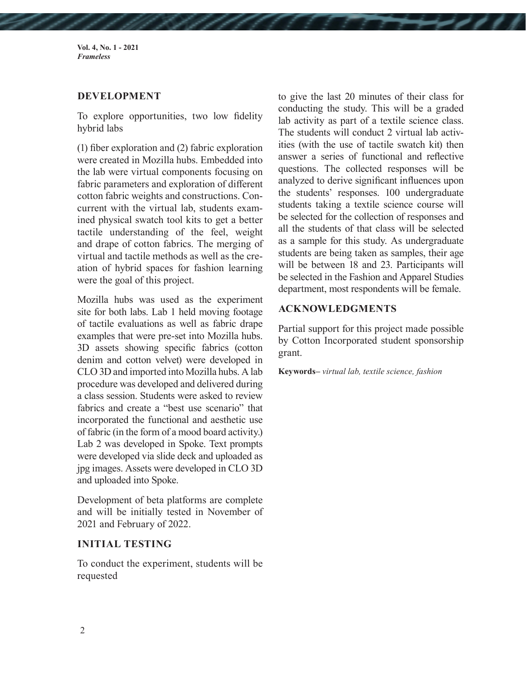**Vol. 4, No. 1 - 2021** *Frameless*

#### **DEVELOPMENT**

To explore opportunities, two low fidelity hybrid labs

(1) fiber exploration and (2) fabric exploration were created in Mozilla hubs. Embedded into the lab were virtual components focusing on fabric parameters and exploration of different cotton fabric weights and constructions. Concurrent with the virtual lab, students examined physical swatch tool kits to get a better tactile understanding of the feel, weight and drape of cotton fabrics. The merging of virtual and tactile methods as well as the creation of hybrid spaces for fashion learning were the goal of this project.

Mozilla hubs was used as the experiment site for both labs. Lab 1 held moving footage of tactile evaluations as well as fabric drape examples that were pre-set into Mozilla hubs. 3D assets showing specific fabrics (cotton denim and cotton velvet) were developed in CLO 3D and imported into Mozilla hubs. A lab procedure was developed and delivered during a class session. Students were asked to review fabrics and create a "best use scenario" that incorporated the functional and aesthetic use of fabric (in the form of a mood board activity.) Lab 2 was developed in Spoke. Text prompts were developed via slide deck and uploaded as jpg images. Assets were developed in CLO 3D and uploaded into Spoke.

Development of beta platforms are complete and will be initially tested in November of 2021 and February of 2022.

#### **INITIAL TESTING**

To conduct the experiment, students will be requested

to give the last 20 minutes of their class for conducting the study. This will be a graded lab activity as part of a textile science class. The students will conduct 2 virtual lab activities (with the use of tactile swatch kit) then answer a series of functional and reflective questions. The collected responses will be analyzed to derive significant influences upon the students' responses. 100 undergraduate students taking a textile science course will be selected for the collection of responses and all the students of that class will be selected as a sample for this study. As undergraduate students are being taken as samples, their age will be between 18 and 23. Participants will be selected in the Fashion and Apparel Studies department, most respondents will be female.

#### **ACKNOWLEDGMENTS**

Partial support for this project made possible by Cotton Incorporated student sponsorship grant.

**Keywords–** *virtual lab, textile science, fashion*